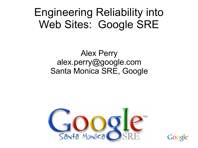#### Engineering Reliability into Web Sites: Google SRE

#### Alex Perry alex.perry@google.com Santa Monica SRE, Google



Google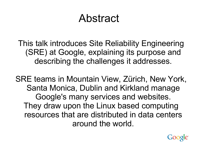#### Abstract

This talk introduces Site Reliability Engineering (SRE) at Google, explaining its purpose and describing the challenges it addresses.

SRE teams in Mountain View, Zürich, New York, Santa Monica, Dublin and Kirkland manage Google's many services and websites. They draw upon the Linux based computing resources that are distributed in data centers around the world.

Google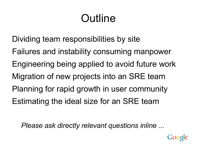# Outline

Dividing team responsibilities by site Failures and instability consuming manpower Engineering being applied to avoid future work Migration of new projects into an SRE team Planning for rapid growth in user community Estimating the ideal size for an SRE team

*Please ask directly relevant questions inline ...*

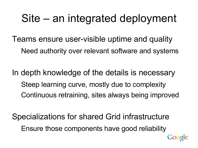#### Site – an integrated deployment

Teams ensure user-visible uptime and quality Need authority over relevant software and systems

In depth knowledge of the details is necessary Steep learning curve, mostly due to complexity Continuous retraining, sites always being improved

Specializations for shared Grid infrastructure Ensure those components have good reliability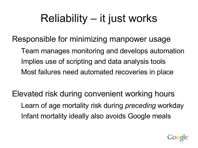## Reliability – it just works

Responsible for minimizing manpower usage

Team manages monitoring and develops automation Implies use of scripting and data analysis tools Most failures need automated recoveries in place

Elevated risk during convenient working hours Learn of age mortality risk during *preceding* workday Infant mortality ideally also avoids Google meals

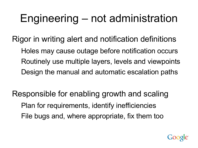# Engineering – not administration

Rigor in writing alert and notification definitions Holes may cause outage before notification occurs Routinely use multiple layers, levels and viewpoints Design the manual and automatic escalation paths

Responsible for enabling growth and scaling Plan for requirements, identify inefficiencies File bugs and, where appropriate, fix them too

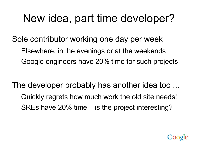## New idea, part time developer?

Sole contributor working one day per week Elsewhere, in the evenings or at the weekends Google engineers have 20% time for such projects

The developer probably has another idea too ... Quickly regrets how much work the old site needs! SREs have 20% time – is the project interesting?

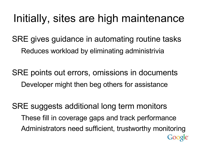#### Initially, sites are high maintenance

SRE gives guidance in automating routine tasks Reduces workload by eliminating administrivia

SRE points out errors, omissions in documents Developer might then beg others for assistance

SRE suggests additional long term monitors These fill in coverage gaps and track performance Administrators need sufficient, trustworthy monitoring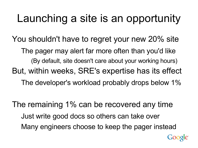## Launching a site is an opportunity

You shouldn't have to regret your new 20% site The pager may alert far more often than you'd like (By default, site doesn't care about your working hours) But, within weeks, SRE's expertise has its effect The developer's workload probably drops below 1%

The remaining 1% can be recovered any time Just write good docs so others can take over Many engineers choose to keep the pager instead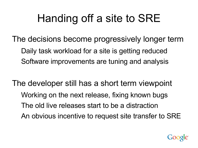## Handing off a site to SRE

- The decisions become progressively longer term Daily task workload for a site is getting reduced Software improvements are tuning and analysis
- The developer still has a short term viewpoint Working on the next release, fixing known bugs The old live releases start to be a distraction An obvious incentive to request site transfer to SRE

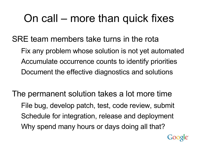#### On call – more than quick fixes

SRE team members take turns in the rota Fix any problem whose solution is not yet automated Accumulate occurrence counts to identify priorities Document the effective diagnostics and solutions

The permanent solution takes a lot more time File bug, develop patch, test, code review, submit Schedule for integration, release and deployment Why spend many hours or days doing all that?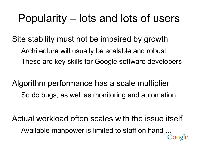#### Popularity – lots and lots of users

Site stability must not be impaired by growth Architecture will usually be scalable and robust These are key skills for Google software developers

Algorithm performance has a scale multiplier So do bugs, as well as monitoring and automation

Actual workload often scales with the issue itself Available manpower is limited to staff on hand ...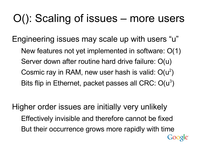## O(): Scaling of issues – more users

Engineering issues may scale up with users "u" New features not yet implemented in software: O(1) Server down after routine hard drive failure: O(u) Cosmic ray in RAM, new user hash is valid:  $O(u^2)$ Bits flip in Ethernet, packet passes all CRC: O(u<sup>3</sup>)

Higher order issues are initially very unlikely Effectively invisible and therefore cannot be fixed But their occurrence grows more rapidly with time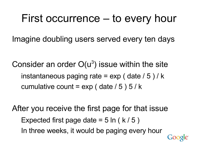#### First occurrence – to every hour

Imagine doubling users served every ten days

Consider an order  $O(u^3)$  issue within the site instantaneous paging rate =  $exp($  date  $/ 5)$  / k cumulative count =  $exp($  date  $/ 5)$  5  $/ k$ 

After you receive the first page for that issue Expected first page date  $= 5 \ln (k / 5)$ In three weeks, it would be paging every hour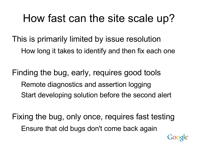#### How fast can the site scale up?

- This is primarily limited by issue resolution How long it takes to identify and then fix each one
- Finding the bug, early, requires good tools Remote diagnostics and assertion logging Start developing solution before the second alert

Fixing the bug, only once, requires fast testing Ensure that old bugs don't come back again

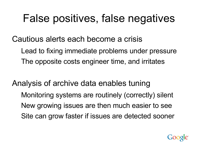#### False positives, false negatives

Cautious alerts each become a crisis

Lead to fixing immediate problems under pressure The opposite costs engineer time, and irritates

Analysis of archive data enables tuning Monitoring systems are routinely (correctly) silent New growing issues are then much easier to see Site can grow faster if issues are detected sooner

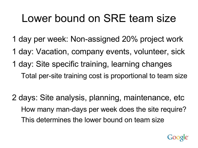#### Lower bound on SRE team size

- 1 day per week: Non-assigned 20% project work
- 1 day: Vacation, company events, volunteer, sick
- 1 day: Site specific training, learning changes Total per-site training cost is proportional to team size
- 2 days: Site analysis, planning, maintenance, etc How many man-days per week does the site require? This determines the lower bound on team size

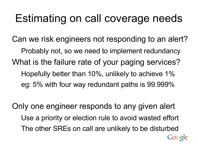#### Estimating on call coverage needs

Can we risk engineers not responding to an alert? Probably not, so we need to implement redundancy What is the failure rate of your paging services? Hopefully better than 10%, unlikely to achieve 1% eg: 5% with four way redundant paths is 99.999%

Only one engineer responds to any given alert Use a priority or election rule to avoid wasted effort The other SREs on call are unlikely to be disturbed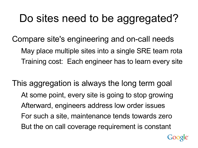## Do sites need to be aggregated?

Compare site's engineering and on-call needs May place multiple sites into a single SRE team rota Training cost: Each engineer has to learn every site

This aggregation is always the long term goal At some point, every site is going to stop growing Afterward, engineers address low order issues For such a site, maintenance tends towards zero But the on call coverage requirement is constant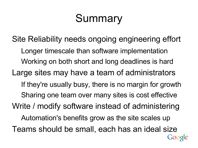## Summary

Site Reliability needs ongoing engineering effort Longer timescale than software implementation Working on both short and long deadlines is hard Large sites may have a team of administrators If they're usually busy, there is no margin for growth Sharing one team over many sites is cost effective Write / modify software instead of administering Automation's benefits grow as the site scales up Teams should be small, each has an ideal size